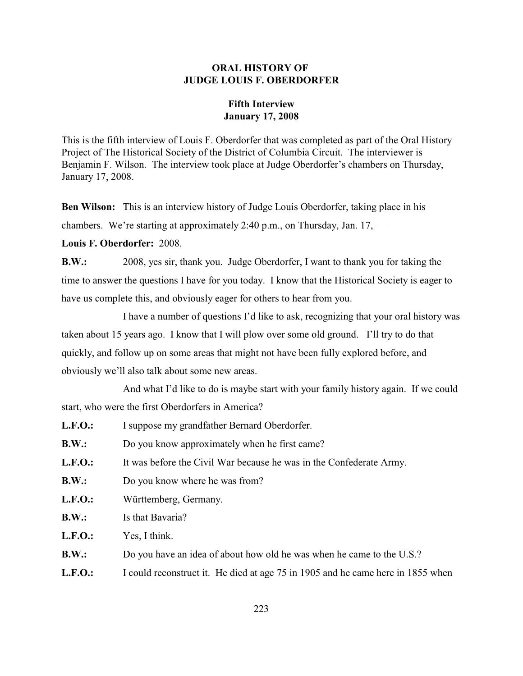## **ORAL HISTORY OF JUDGE LOUIS F. OBERDORFER**

## **Fifth Interview January 17, 2008**

This is the fifth interview of Louis F. Oberdorfer that was completed as part of the Oral History Project of The Historical Society of the District of Columbia Circuit. The interviewer is Benjamin F. Wilson. The interview took place at Judge Oberdorfer's chambers on Thursday, January 17, 2008.

**Ben Wilson:** This is an interview history of Judge Louis Oberdorfer, taking place in his chambers. We're starting at approximately 2:40 p.m., on Thursday, Jan. 17, —

**Louis F. Oberdorfer:** 2008.

**B.W.:** 2008, yes sir, thank you. Judge Oberdorfer, I want to thank you for taking the time to answer the questions I have for you today. I know that the Historical Society is eager to have us complete this, and obviously eager for others to hear from you.

I have a number of questions I'd like to ask, recognizing that your oral history was taken about 15 years ago. I know that I will plow over some old ground. I'll try to do that quickly, and follow up on some areas that might not have been fully explored before, and obviously we'll also talk about some new areas.

And what I'd like to do is maybe start with your family history again. If we could start, who were the first Oberdorfers in America?

| L.F.O.:        | I suppose my grandfather Bernard Oberdorfer.                                    |
|----------------|---------------------------------------------------------------------------------|
| B.W.:          | Do you know approximately when he first came?                                   |
| L.F.O.:        | It was before the Civil War because he was in the Confederate Army.             |
| B.W.:          | Do you know where he was from?                                                  |
| <b>L.F.O.:</b> | Württemberg, Germany.                                                           |
| B.W.:          | Is that Bavaria?                                                                |
| L.F.O.:        | Yes, I think.                                                                   |
| B.W.:          | Do you have an idea of about how old he was when he came to the U.S.?           |
| L.F.O.:        | I could reconstruct it. He died at age 75 in 1905 and he came here in 1855 when |
|                |                                                                                 |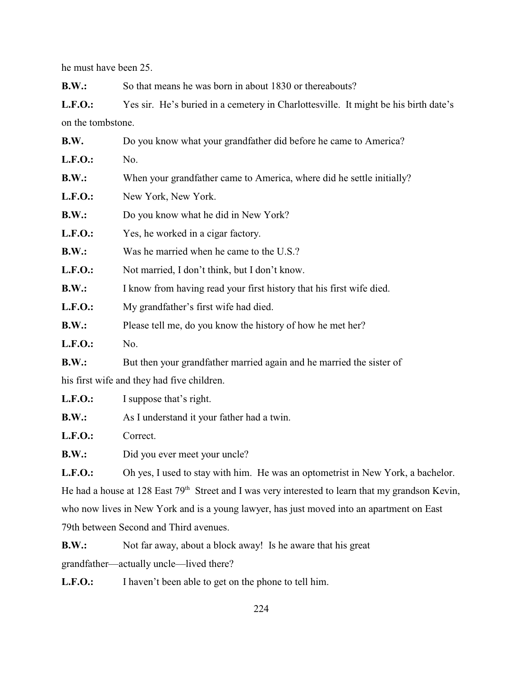he must have been 25.

**B.W.:** So that means he was born in about 1830 or thereabouts?

L.F.O.: Yes sir. He's buried in a cemetery in Charlottesville. It might be his birth date's on the tombstone.

| B.W.           | Do you know what your grandfather did before he came to America?      |  |  |  |
|----------------|-----------------------------------------------------------------------|--|--|--|
| <b>L.F.O.:</b> | No.                                                                   |  |  |  |
| B.W.:          | When your grandfather came to America, where did he settle initially? |  |  |  |
| <b>L.F.O.:</b> | New York, New York.                                                   |  |  |  |
| B.W.:          | Do you know what he did in New York?                                  |  |  |  |
| <b>L.F.O.:</b> | Yes, he worked in a cigar factory.                                    |  |  |  |
| B.W.:          | Was he married when he came to the U.S.?                              |  |  |  |
| <b>L.F.O.:</b> | Not married, I don't think, but I don't know.                         |  |  |  |
| B.W.:          | I know from having read your first history that his first wife died.  |  |  |  |
| <b>L.F.O.:</b> | My grandfather's first wife had died.                                 |  |  |  |
| B.W.:          | Please tell me, do you know the history of how he met her?            |  |  |  |
| <b>L.F.O.:</b> | No.                                                                   |  |  |  |
| B.W.:          | But then your grandfather married again and he married the sister of  |  |  |  |
|                | his first wife and they had five children.                            |  |  |  |
| <b>L.F.O.:</b> | I suppose that's right.                                               |  |  |  |
| B.W.:          | As I understand it your father had a twin.                            |  |  |  |

**L.F.O.:** Correct.

**B.W.:** Did you ever meet your uncle?

**L.F.O.:** Oh yes, I used to stay with him. He was an optometrist in New York, a bachelor. He had a house at 128 East  $79<sup>th</sup>$  Street and I was very interested to learn that my grandson Kevin, who now lives in New York and is a young lawyer, has just moved into an apartment on East 79th between Second and Third avenues.

**B.W.:** Not far away, about a block away! Is he aware that his great

grandfather—actually uncle—lived there?

**L.F.O.:** I haven't been able to get on the phone to tell him.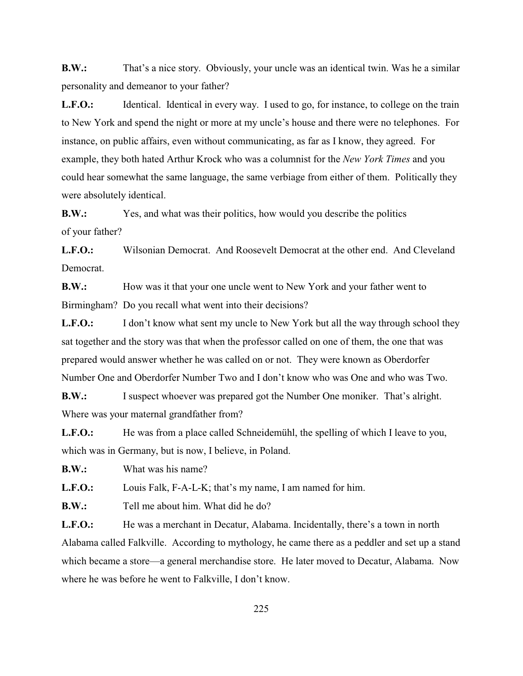**B.W.:** That's a nice story. Obviously, your uncle was an identical twin. Was he a similar personality and demeanor to your father?

L.F.O.: Identical. Identical in every way. I used to go, for instance, to college on the train to New York and spend the night or more at my uncle's house and there were no telephones. For instance, on public affairs, even without communicating, as far as I know, they agreed. For example, they both hated Arthur Krock who was a columnist for the *New York Times* and you could hear somewhat the same language, the same verbiage from either of them. Politically they were absolutely identical.

**B.W.:** Yes, and what was their politics, how would you describe the politics of your father?

**L.F.O.:** Wilsonian Democrat. And Roosevelt Democrat at the other end. And Cleveland Democrat.

**B.W.:** How was it that your one uncle went to New York and your father went to Birmingham? Do you recall what went into their decisions?

**L.F.O.:** I don't know what sent my uncle to New York but all the way through school they sat together and the story was that when the professor called on one of them, the one that was prepared would answer whether he was called on or not. They were known as Oberdorfer Number One and Oberdorfer Number Two and I don't know who was One and who was Two.

**B.W.:** I suspect whoever was prepared got the Number One moniker. That's alright. Where was your maternal grandfather from?

**L.F.O.:** He was from a place called Schneidemühl, the spelling of which I leave to you, which was in Germany, but is now, I believe, in Poland.

**B.W.:** What was his name?

**L.F.O.:** Louis Falk, F-A-L-K; that's my name, I am named for him.

**B.W.:** Tell me about him. What did he do?

L.F.O.: He was a merchant in Decatur, Alabama. Incidentally, there's a town in north Alabama called Falkville. According to mythology, he came there as a peddler and set up a stand which became a store—a general merchandise store. He later moved to Decatur, Alabama. Now where he was before he went to Falkville, I don't know.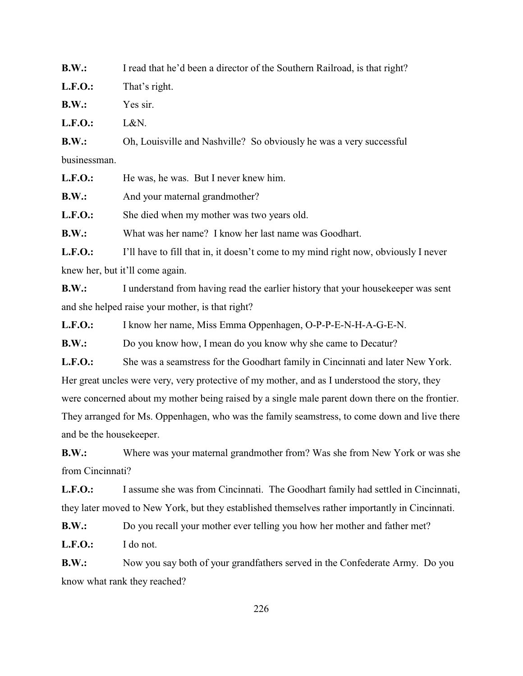**B.W.:** I read that he'd been a director of the Southern Railroad, is that right? **L.F.O.:** That's right. **B.W.:** Yes sir.

**L.F.O.:** L&N.

**B.W.:** Oh, Louisville and Nashville? So obviously he was a very successful businessman.

L.F.O.: He was, he was. But I never knew him.

**B.W.:** And your maternal grandmother?

L.F.O.: She died when my mother was two years old.

**B.W.:** What was her name? I know her last name was Goodhart.

L.F.O.: I'll have to fill that in, it doesn't come to my mind right now, obviously I never knew her, but it'll come again.

**B.W.:** I understand from having read the earlier history that your housekeeper was sent and she helped raise your mother, is that right?

**L.F.O.:** I know her name, Miss Emma Oppenhagen, O-P-P-E-N-H-A-G-E-N.

**B.W.:** Do you know how, I mean do you know why she came to Decatur?

L.F.O.: She was a seamstress for the Goodhart family in Cincinnati and later New York. Her great uncles were very, very protective of my mother, and as I understood the story, they were concerned about my mother being raised by a single male parent down there on the frontier. They arranged for Ms. Oppenhagen, who was the family seamstress, to come down and live there and be the housekeeper.

**B.W.:** Where was your maternal grandmother from? Was she from New York or was she from Cincinnati?

**L.F.O.:** I assume she was from Cincinnati. The Goodhart family had settled in Cincinnati, they later moved to New York, but they established themselves rather importantly in Cincinnati.

**B.W.:** Do you recall your mother ever telling you how her mother and father met?

**L.F.O.:** I do not.

**B.W.:** Now you say both of your grandfathers served in the Confederate Army. Do you know what rank they reached?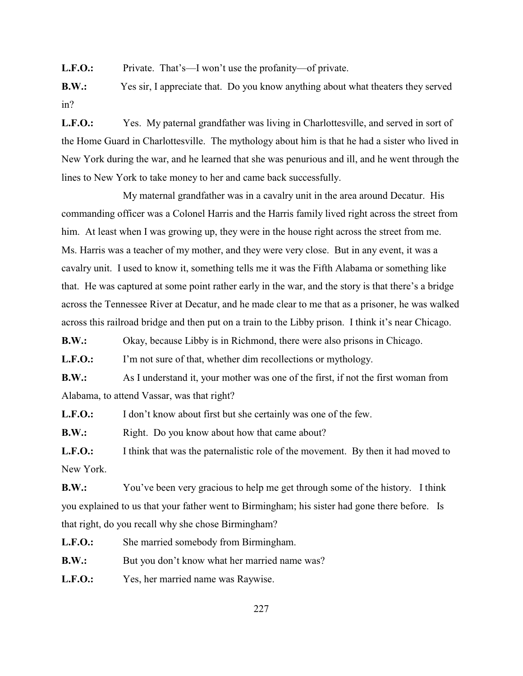L.F.O.: Private. That's—I won't use the profanity—of private.

**B.W.:** Yes sir, I appreciate that. Do you know anything about what theaters they served in?

L.F.O.: Yes. My paternal grandfather was living in Charlottesville, and served in sort of the Home Guard in Charlottesville. The mythology about him is that he had a sister who lived in New York during the war, and he learned that she was penurious and ill, and he went through the lines to New York to take money to her and came back successfully.

 My maternal grandfather was in a cavalry unit in the area around Decatur. His commanding officer was a Colonel Harris and the Harris family lived right across the street from him. At least when I was growing up, they were in the house right across the street from me. Ms. Harris was a teacher of my mother, and they were very close. But in any event, it was a cavalry unit. I used to know it, something tells me it was the Fifth Alabama or something like that. He was captured at some point rather early in the war, and the story is that there's a bridge across the Tennessee River at Decatur, and he made clear to me that as a prisoner, he was walked across this railroad bridge and then put on a train to the Libby prison. I think it's near Chicago.

**B.W.:** Okay, because Libby is in Richmond, there were also prisons in Chicago.

**L.F.O.:** I'm not sure of that, whether dim recollections or mythology.

**B.W.:** As I understand it, your mother was one of the first, if not the first woman from Alabama, to attend Vassar, was that right?

L.F.O.: I don't know about first but she certainly was one of the few.

**B.W.:** Right. Do you know about how that came about?

**L.F.O.:** I think that was the paternalistic role of the movement. By then it had moved to New York.

**B.W.:** You've been very gracious to help me get through some of the history. I think you explained to us that your father went to Birmingham; his sister had gone there before. Is that right, do you recall why she chose Birmingham?

L.F.O.: She married somebody from Birmingham.

**B.W.:** But you don't know what her married name was?

**L.F.O.:** Yes, her married name was Raywise.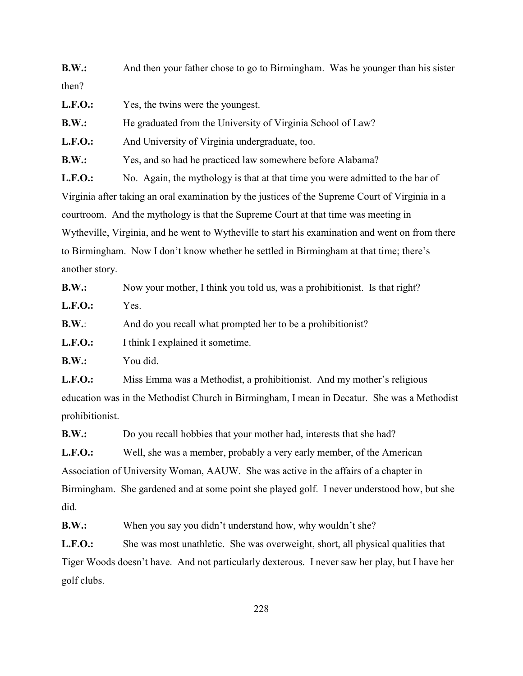**B.W.:** And then your father chose to go to Birmingham. Was he younger than his sister then?

| <b>L.F.O.:</b> |  | Yes, the twins were the youngest. |
|----------------|--|-----------------------------------|
|----------------|--|-----------------------------------|

**B.W.:** He graduated from the University of Virginia School of Law?

L.F.O.: And University of Virginia undergraduate, too.

**B.W.:** Yes, and so had he practiced law somewhere before Alabama?

L.F.O.: No. Again, the mythology is that at that time you were admitted to the bar of Virginia after taking an oral examination by the justices of the Supreme Court of Virginia in a courtroom. And the mythology is that the Supreme Court at that time was meeting in Wytheville, Virginia, and he went to Wytheville to start his examination and went on from there to Birmingham. Now I don't know whether he settled in Birmingham at that time; there's another story.

| B.W.:      | Now your mother, I think you told us, was a prohibitionist. Is that right? |
|------------|----------------------------------------------------------------------------|
| $L.F.O.$ : | Yes.                                                                       |
| B.W.:      | And do you recall what prompted her to be a prohibitionist?                |
| $L.F.O.$ : | I think I explained it sometime.                                           |
| B.W.:      | You did.                                                                   |
| $L.F.O.$ : | Miss Emma was a Methodist, a prohibitionist. And my mother's religious     |

education was in the Methodist Church in Birmingham, I mean in Decatur. She was a Methodist prohibitionist.

**B.W.:** Do you recall hobbies that your mother had, interests that she had?

L.F.O.: Well, she was a member, probably a very early member, of the American Association of University Woman, AAUW. She was active in the affairs of a chapter in Birmingham. She gardened and at some point she played golf. I never understood how, but she did.

**B.W.:** When you say you didn't understand how, why wouldn't she?

L.F.O.: She was most unathletic. She was overweight, short, all physical qualities that Tiger Woods doesn't have. And not particularly dexterous. I never saw her play, but I have her golf clubs.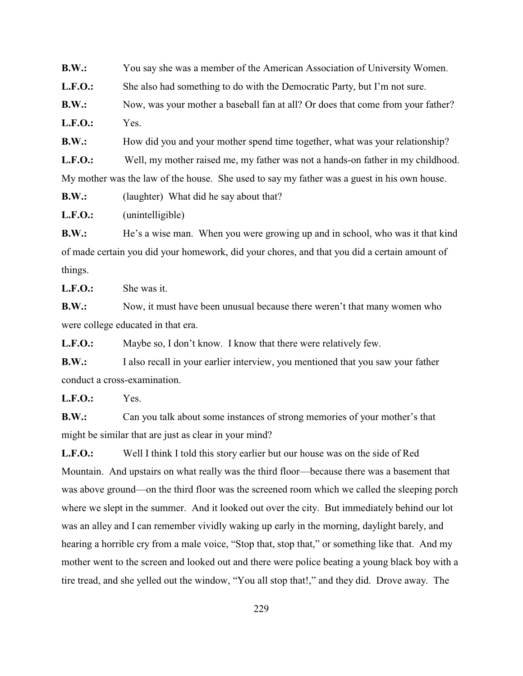**B.W.:** You say she was a member of the American Association of University Women.

L.F.O.: She also had something to do with the Democratic Party, but I'm not sure.

**B.W.:** Now, was your mother a baseball fan at all? Or does that come from your father?

**L.F.O.:** Yes.

**B.W.:** How did you and your mother spend time together, what was your relationship?

**L.F.O.:** Well, my mother raised me, my father was not a hands-on father in my childhood.

My mother was the law of the house. She used to say my father was a guest in his own house.

**B.W.:** (laughter) What did he say about that?

**L.F.O.:** (unintelligible)

**B.W.:** He's a wise man. When you were growing up and in school, who was it that kind of made certain you did your homework, did your chores, and that you did a certain amount of things.

**L.F.O.:** She was it.

**B.W.:** Now, it must have been unusual because there weren't that many women who were college educated in that era.

L.F.O.: Maybe so, I don't know. I know that there were relatively few.

**B.W.:** I also recall in your earlier interview, you mentioned that you saw your father conduct a cross-examination.

**L.F.O.:** Yes.

**B.W.:** Can you talk about some instances of strong memories of your mother's that might be similar that are just as clear in your mind?

**L.F.O.:** Well I think I told this story earlier but our house was on the side of Red Mountain. And upstairs on what really was the third floor—because there was a basement that was above ground—on the third floor was the screened room which we called the sleeping porch where we slept in the summer. And it looked out over the city. But immediately behind our lot was an alley and I can remember vividly waking up early in the morning, daylight barely, and hearing a horrible cry from a male voice, "Stop that, stop that," or something like that. And my mother went to the screen and looked out and there were police beating a young black boy with a tire tread, and she yelled out the window, "You all stop that!," and they did. Drove away. The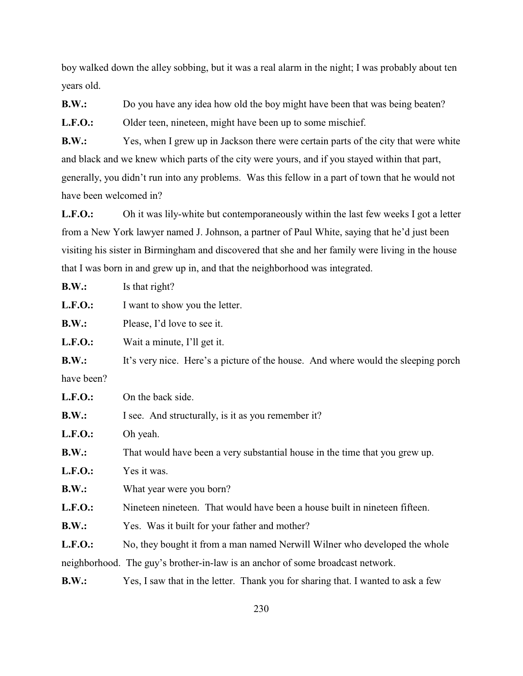boy walked down the alley sobbing, but it was a real alarm in the night; I was probably about ten years old.

**B.W.:** Do you have any idea how old the boy might have been that was being beaten?

L.F.O.: Older teen, nineteen, might have been up to some mischief.

**B.W.:** Yes, when I grew up in Jackson there were certain parts of the city that were white and black and we knew which parts of the city were yours, and if you stayed within that part, generally, you didn't run into any problems. Was this fellow in a part of town that he would not have been welcomed in?

L.F.O.: Oh it was lily-white but contemporaneously within the last few weeks I got a letter from a New York lawyer named J. Johnson, a partner of Paul White, saying that he'd just been visiting his sister in Birmingham and discovered that she and her family were living in the house that I was born in and grew up in, and that the neighborhood was integrated.

| B.W.:          | Is that right?                                                                                                                                                                                                                                                                                                                                                                                                                                               |
|----------------|--------------------------------------------------------------------------------------------------------------------------------------------------------------------------------------------------------------------------------------------------------------------------------------------------------------------------------------------------------------------------------------------------------------------------------------------------------------|
| <b>L.F.O.:</b> | I want to show you the letter.                                                                                                                                                                                                                                                                                                                                                                                                                               |
| B.W.:          | Please, I'd love to see it.                                                                                                                                                                                                                                                                                                                                                                                                                                  |
| $L.F. O.$ :    | Wait a minute, I'll get it.                                                                                                                                                                                                                                                                                                                                                                                                                                  |
| B.W.:          | It's very nice. Here's a picture of the house. And where would the sleeping porch                                                                                                                                                                                                                                                                                                                                                                            |
| have been?     |                                                                                                                                                                                                                                                                                                                                                                                                                                                              |
| <b>L.F.O.:</b> | On the back side.                                                                                                                                                                                                                                                                                                                                                                                                                                            |
| B.W.:          | I see. And structurally, is it as you remember it?                                                                                                                                                                                                                                                                                                                                                                                                           |
| <b>L.F.O.:</b> | Oh yeah.                                                                                                                                                                                                                                                                                                                                                                                                                                                     |
| B.W.:          | That would have been a very substantial house in the time that you grew up.                                                                                                                                                                                                                                                                                                                                                                                  |
| <b>L.F.O.:</b> | Yes it was.                                                                                                                                                                                                                                                                                                                                                                                                                                                  |
| B.W.:          | What year were you born?                                                                                                                                                                                                                                                                                                                                                                                                                                     |
| L.F.O.:        | Nineteen nineteen. That would have been a house built in nineteen fifteen.                                                                                                                                                                                                                                                                                                                                                                                   |
| B.W.:          | Yes. Was it built for your father and mother?                                                                                                                                                                                                                                                                                                                                                                                                                |
| <b>L.F.O.:</b> | No, they bought it from a man named Nerwill Wilner who developed the whole                                                                                                                                                                                                                                                                                                                                                                                   |
|                | neighborhood. The guy's brother-in-law is an anchor of some broadcast network.                                                                                                                                                                                                                                                                                                                                                                               |
|                | $\mathbf{v} \cdot \mathbf{v} = \mathbf{v} \cdot \mathbf{v} + \mathbf{v} \cdot \mathbf{v} + \mathbf{v} \cdot \mathbf{v} + \mathbf{v} \cdot \mathbf{v} + \mathbf{v} \cdot \mathbf{v} + \mathbf{v} \cdot \mathbf{v} + \mathbf{v} \cdot \mathbf{v} + \mathbf{v} \cdot \mathbf{v} + \mathbf{v} \cdot \mathbf{v} + \mathbf{v} \cdot \mathbf{v} + \mathbf{v} \cdot \mathbf{v} + \mathbf{v} \cdot \mathbf{v} + \mathbf{v} \cdot \mathbf{v} + \mathbf{v} \cdot \math$ |

**B.W.:** Yes, I saw that in the letter. Thank you for sharing that. I wanted to ask a few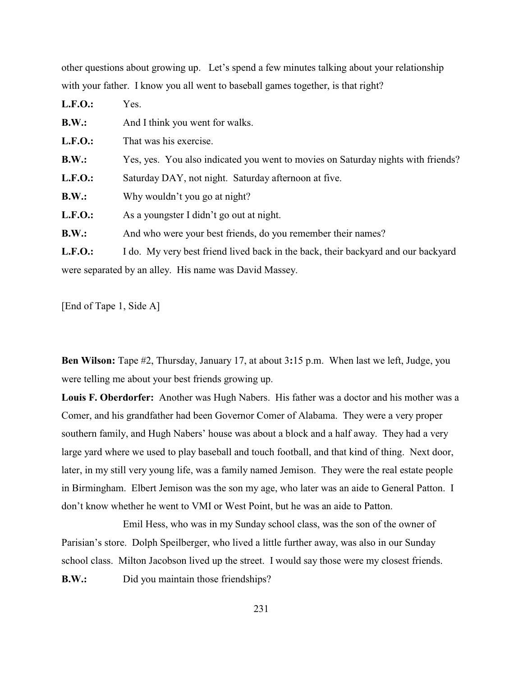other questions about growing up. Let's spend a few minutes talking about your relationship with your father. I know you all went to baseball games together, is that right?

| <b>L.F.O.:</b> | Yes.                                                                              |
|----------------|-----------------------------------------------------------------------------------|
| B.W.:          | And I think you went for walks.                                                   |
| L.F.O.:        | That was his exercise.                                                            |
| B.W.:          | Yes, yes. You also indicated you went to movies on Saturday nights with friends?  |
| <b>L.F.O.:</b> | Saturday DAY, not night. Saturday afternoon at five.                              |
| B.W.:          | Why wouldn't you go at night?                                                     |
| <b>L.F.O.:</b> | As a youngster I didn't go out at night.                                          |
| B.W.:          | And who were your best friends, do you remember their names?                      |
| <b>L.F.O.:</b> | I do. My very best friend lived back in the back, their backyard and our backyard |

were separated by an alley. His name was David Massey.

[End of Tape 1, Side A]

**Ben Wilson:** Tape #2, Thursday, January 17, at about 3**:**15 p.m. When last we left, Judge, you were telling me about your best friends growing up.

**Louis F. Oberdorfer:** Another was Hugh Nabers. His father was a doctor and his mother was a Comer, and his grandfather had been Governor Comer of Alabama. They were a very proper southern family, and Hugh Nabers' house was about a block and a half away. They had a very large yard where we used to play baseball and touch football, and that kind of thing. Next door, later, in my still very young life, was a family named Jemison. They were the real estate people in Birmingham. Elbert Jemison was the son my age, who later was an aide to General Patton. I don't know whether he went to VMI or West Point, but he was an aide to Patton.

Emil Hess, who was in my Sunday school class, was the son of the owner of Parisian's store. Dolph Speilberger, who lived a little further away, was also in our Sunday school class. Milton Jacobson lived up the street. I would say those were my closest friends. **B.W.:** Did you maintain those friendships?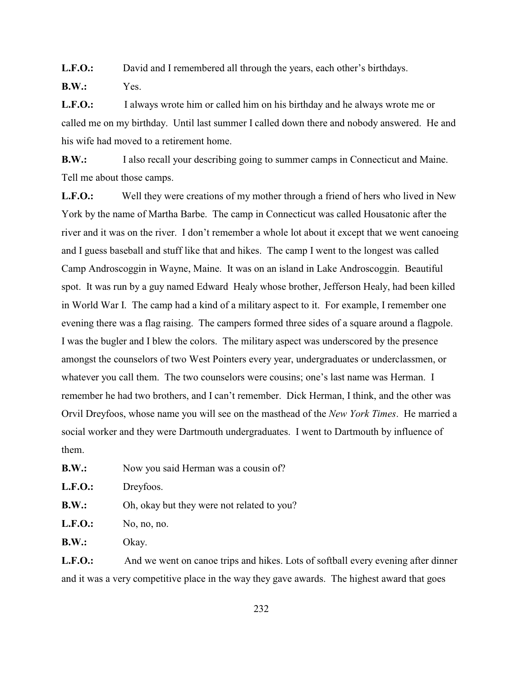**L.F.O.:** David and I remembered all through the years, each other's birthdays.

**B.W.:** Yes.

**L.F.O.:** I always wrote him or called him on his birthday and he always wrote me or called me on my birthday. Until last summer I called down there and nobody answered. He and his wife had moved to a retirement home.

**B.W.:** I also recall your describing going to summer camps in Connecticut and Maine. Tell me about those camps.

**L.F.O.:** Well they were creations of my mother through a friend of hers who lived in New York by the name of Martha Barbe. The camp in Connecticut was called Housatonic after the river and it was on the river. I don't remember a whole lot about it except that we went canoeing and I guess baseball and stuff like that and hikes. The camp I went to the longest was called Camp Androscoggin in Wayne, Maine. It was on an island in Lake Androscoggin. Beautiful spot. It was run by a guy named Edward Healy whose brother, Jefferson Healy, had been killed in World War I. The camp had a kind of a military aspect to it. For example, I remember one evening there was a flag raising. The campers formed three sides of a square around a flagpole. I was the bugler and I blew the colors. The military aspect was underscored by the presence amongst the counselors of two West Pointers every year, undergraduates or underclassmen, or whatever you call them. The two counselors were cousins; one's last name was Herman. I remember he had two brothers, and I can't remember. Dick Herman, I think, and the other was Orvil Dreyfoos, whose name you will see on the masthead of the *New York Times*. He married a social worker and they were Dartmouth undergraduates. I went to Dartmouth by influence of them.

| B.W.: |  | Now you said Herman was a cousin of? |  |  |
|-------|--|--------------------------------------|--|--|
|       |  |                                      |  |  |

| L.F.O. | Dreyfoos.                                  |
|--------|--------------------------------------------|
| B.W.:  | Oh, okay but they were not related to you? |

**L.F.O.:** No, no, no.

**B.W.:** Okay.

L.F.O.: And we went on canoe trips and hikes. Lots of softball every evening after dinner and it was a very competitive place in the way they gave awards. The highest award that goes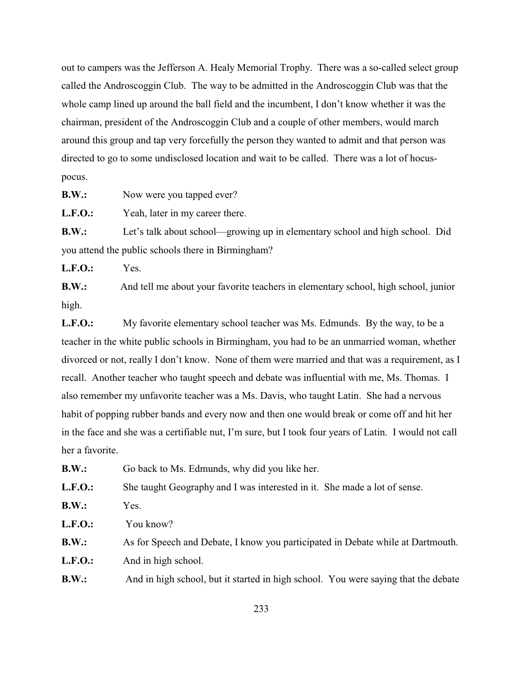out to campers was the Jefferson A. Healy Memorial Trophy. There was a so-called select group called the Androscoggin Club. The way to be admitted in the Androscoggin Club was that the whole camp lined up around the ball field and the incumbent, I don't know whether it was the chairman, president of the Androscoggin Club and a couple of other members, would march around this group and tap very forcefully the person they wanted to admit and that person was directed to go to some undisclosed location and wait to be called. There was a lot of hocuspocus.

**B.W.:** Now were you tapped ever?

L.F.O.: Yeah, later in my career there.

**B.W.:** Let's talk about school—growing up in elementary school and high school. Did you attend the public schools there in Birmingham?

**L.F.O.:** Yes.

**B.W.:** And tell me about your favorite teachers in elementary school, high school, junior high.

**L.F.O.:** My favorite elementary school teacher was Ms. Edmunds. By the way, to be a teacher in the white public schools in Birmingham, you had to be an unmarried woman, whether divorced or not, really I don't know. None of them were married and that was a requirement, as I recall. Another teacher who taught speech and debate was influential with me, Ms. Thomas. I also remember my unfavorite teacher was a Ms. Davis, who taught Latin. She had a nervous habit of popping rubber bands and every now and then one would break or come off and hit her in the face and she was a certifiable nut, I'm sure, but I took four years of Latin. I would not call her a favorite.

**B.W.:** Go back to Ms. Edmunds, why did you like her.

**L.F.O.:** She taught Geography and I was interested in it. She made a lot of sense.

| <b>B.W.:</b>   | Yes.                                                                               |
|----------------|------------------------------------------------------------------------------------|
| <b>L.F.O.:</b> | You know?                                                                          |
| B.W.:          | As for Speech and Debate, I know you participated in Debate while at Dartmouth.    |
| <b>L.F.O.:</b> | And in high school.                                                                |
| B.W.:          | And in high school, but it started in high school. You were saying that the debate |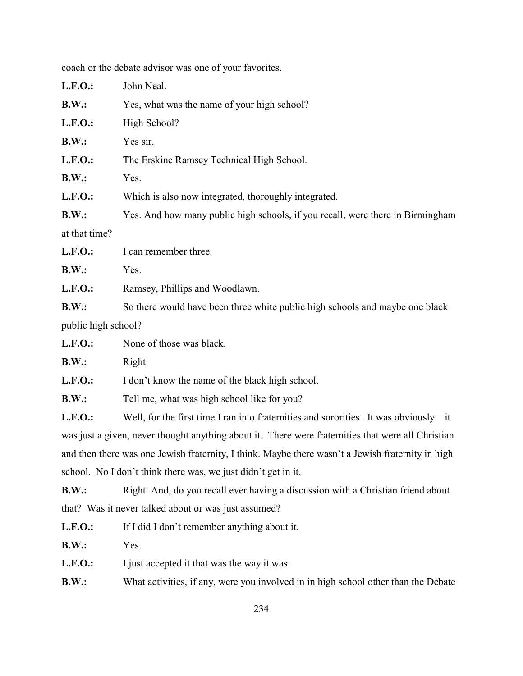| <b>L.F.O.:</b>      | John Neal.                                                                     |  |  |
|---------------------|--------------------------------------------------------------------------------|--|--|
| B.W.:               | Yes, what was the name of your high school?                                    |  |  |
| <b>L.F.O.:</b>      | High School?                                                                   |  |  |
| B.W.:               | Yes sir.                                                                       |  |  |
| <b>L.F.O.:</b>      | The Erskine Ramsey Technical High School.                                      |  |  |
| B.W.:               | Yes.                                                                           |  |  |
| <b>L.F.O.:</b>      | Which is also now integrated, thoroughly integrated.                           |  |  |
| B.W.:               | Yes. And how many public high schools, if you recall, were there in Birmingham |  |  |
| at that time?       |                                                                                |  |  |
| $L.F.O.$ :          | I can remember three.                                                          |  |  |
| B.W.:               | Yes.                                                                           |  |  |
| <b>L.F.O.:</b>      | Ramsey, Phillips and Woodlawn.                                                 |  |  |
| B.W.:               | So there would have been three white public high schools and maybe one black   |  |  |
| public high school? |                                                                                |  |  |
| L.F.O.              | None of those was black.                                                       |  |  |

coach or the debate advisor was one of your favorites.

**B.W.:** Right.

L.F.O.: I don't know the name of the black high school.

**B.W.:** Tell me, what was high school like for you?

L.F.O.: Well, for the first time I ran into fraternities and sororities. It was obviously—it was just a given, never thought anything about it. There were fraternities that were all Christian and then there was one Jewish fraternity, I think. Maybe there wasn't a Jewish fraternity in high school. No I don't think there was, we just didn't get in it.

**B.W.:** Right. And, do you recall ever having a discussion with a Christian friend about that? Was it never talked about or was just assumed?

| <b>L.F.O.:</b> | If I did I don't remember anything about it. |
|----------------|----------------------------------------------|
|----------------|----------------------------------------------|

**B.W.:** Yes.

**L.F.O.:** I just accepted it that was the way it was.

**B.W.:** What activities, if any, were you involved in in high school other than the Debate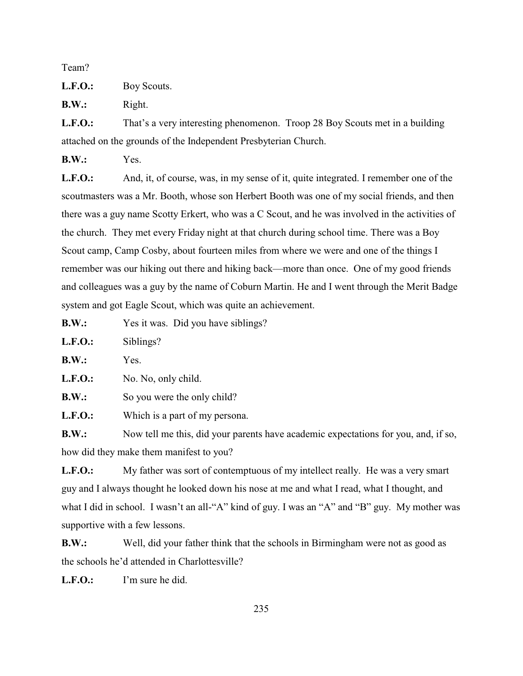Team?

**L.F.O.:** Boy Scouts.

**B.W.:** Right.

**L.F.O.:** That's a very interesting phenomenon. Troop 28 Boy Scouts met in a building attached on the grounds of the Independent Presbyterian Church.

**B.W.:** Yes.

**L.F.O.:** And, it, of course, was, in my sense of it, quite integrated. I remember one of the scoutmasters was a Mr. Booth, whose son Herbert Booth was one of my social friends, and then there was a guy name Scotty Erkert, who was a C Scout, and he was involved in the activities of the church. They met every Friday night at that church during school time. There was a Boy Scout camp, Camp Cosby, about fourteen miles from where we were and one of the things I remember was our hiking out there and hiking back—more than once. One of my good friends and colleagues was a guy by the name of Coburn Martin. He and I went through the Merit Badge system and got Eagle Scout, which was quite an achievement.

**B.W.:** Yes it was. Did you have siblings?

**L.F.O.:** Siblings?

**B.W.:** Yes.

L.F.O.: No. No, only child.

**B.W.:** So you were the only child?

**L.F.O.:** Which is a part of my persona.

**B.W.:** Now tell me this, did your parents have academic expectations for you, and, if so, how did they make them manifest to you?

L.F.O.: My father was sort of contemptuous of my intellect really. He was a very smart guy and I always thought he looked down his nose at me and what I read, what I thought, and what I did in school. I wasn't an all-"A" kind of guy. I was an "A" and "B" guy. My mother was supportive with a few lessons.

**B.W.:** Well, did your father think that the schools in Birmingham were not as good as the schools he'd attended in Charlottesville?

**L.F.O.:** I'm sure he did.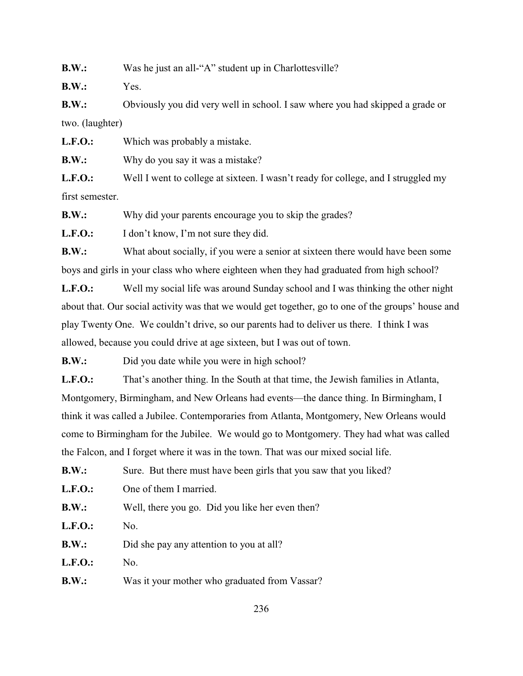**B.W.:** Was he just an all-"A" student up in Charlottesville?

**B.W.:** Yes.

**B.W.:** Obviously you did very well in school. I saw where you had skipped a grade or two. (laughter)

**L.F.O.:** Which was probably a mistake.

**B.W.:** Why do you say it was a mistake?

L.F.O.: Well I went to college at sixteen. I wasn't ready for college, and I struggled my first semester.

**B.W.:** Why did your parents encourage you to skip the grades?

L.F.O.: I don't know, I'm not sure they did.

**B.W.:** What about socially, if you were a senior at sixteen there would have been some boys and girls in your class who where eighteen when they had graduated from high school?

**L.F.O.:** Well my social life was around Sunday school and I was thinking the other night about that. Our social activity was that we would get together, go to one of the groups' house and play Twenty One. We couldn't drive, so our parents had to deliver us there. I think I was allowed, because you could drive at age sixteen, but I was out of town.

**B.W.:** Did you date while you were in high school?

**L.F.O.:** That's another thing. In the South at that time, the Jewish families in Atlanta, Montgomery, Birmingham, and New Orleans had events—the dance thing. In Birmingham, I think it was called a Jubilee. Contemporaries from Atlanta, Montgomery, New Orleans would come to Birmingham for the Jubilee. We would go to Montgomery. They had what was called the Falcon, and I forget where it was in the town. That was our mixed social life.

**B.W.:** Sure. But there must have been girls that you saw that you liked?

**L.F.O.:** One of them I married.

| B.W.: | Well, there you go. Did you like her even then? |  |  |
|-------|-------------------------------------------------|--|--|
|-------|-------------------------------------------------|--|--|

**L.F.O.:** No.

**B.W.:** Did she pay any attention to you at all?

**L.F.O.:** No.

**B.W.:** Was it your mother who graduated from Vassar?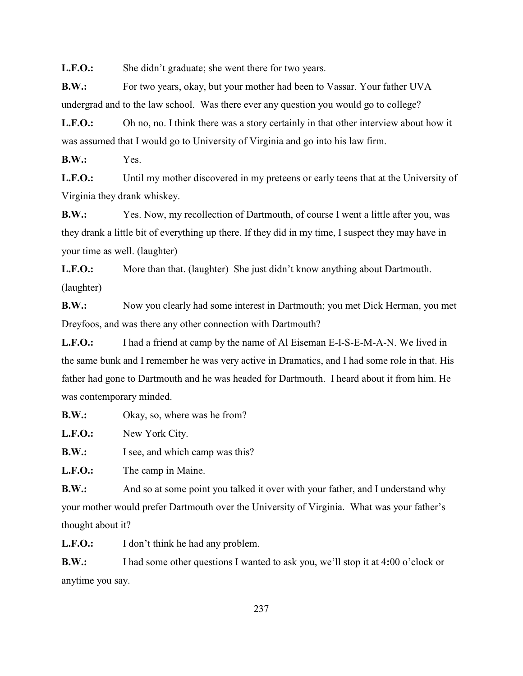L.F.O.: She didn't graduate; she went there for two years.

**B.W.:** For two years, okay, but your mother had been to Vassar. Your father UVA undergrad and to the law school. Was there ever any question you would go to college?

L.F.O.: Oh no, no. I think there was a story certainly in that other interview about how it was assumed that I would go to University of Virginia and go into his law firm.

**B.W.:** Yes.

L.F.O.: Until my mother discovered in my preteens or early teens that at the University of Virginia they drank whiskey.

**B.W.:** Yes. Now, my recollection of Dartmouth, of course I went a little after you, was they drank a little bit of everything up there. If they did in my time, I suspect they may have in your time as well. (laughter)

**L.F.O.:** More than that. (laughter) She just didn't know anything about Dartmouth. (laughter)

**B.W.:** Now you clearly had some interest in Dartmouth; you met Dick Herman, you met Dreyfoos, and was there any other connection with Dartmouth?

**L.F.O.:** I had a friend at camp by the name of Al Eiseman E-I-S-E-M-A-N. We lived in the same bunk and I remember he was very active in Dramatics, and I had some role in that. His father had gone to Dartmouth and he was headed for Dartmouth. I heard about it from him. He was contemporary minded.

**B.W.:** Okay, so, where was he from?

**L.F.O.:** New York City.

**B.W.:** I see, and which camp was this?

**L.F.O.:** The camp in Maine.

**B.W.:** And so at some point you talked it over with your father, and I understand why your mother would prefer Dartmouth over the University of Virginia. What was your father's thought about it?

**L.F.O.:** I don't think he had any problem.

**B.W.:** I had some other questions I wanted to ask you, we'll stop it at 4**:**00 o'clock or anytime you say.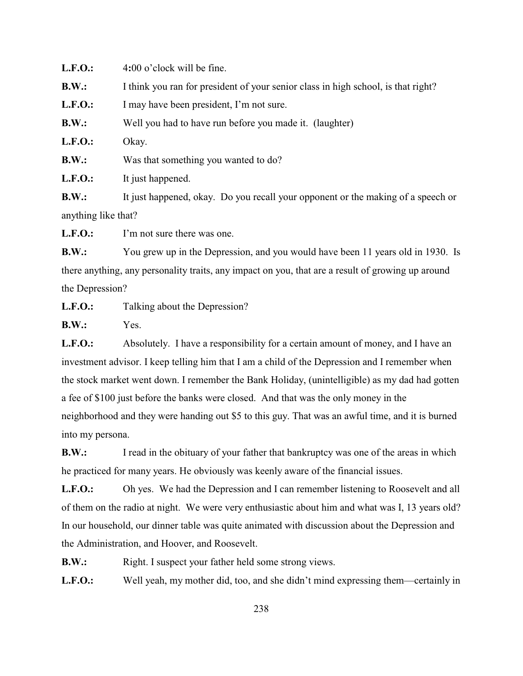**L.F.O.:** 4**:**00 o'clock will be fine. **B.W.:** I think you ran for president of your senior class in high school, is that right? L.F.O.: I may have been president, I'm not sure. **B.W.:** Well you had to have run before you made it. (laughter) **L.F.O.:** Okay. **B.W.:** Was that something you wanted to do? **L.F.O.:** It just happened. **B.W.:** It just happened, okay. Do you recall your opponent or the making of a speech or

anything like that?

**L.F.O.:** I'm not sure there was one.

**B.W.:** You grew up in the Depression, and you would have been 11 years old in 1930. Is there anything, any personality traits, any impact on you, that are a result of growing up around the Depression?

**L.F.O.:** Talking about the Depression?

**B.W.:** Yes.

**L.F.O.:** Absolutely. I have a responsibility for a certain amount of money, and I have an investment advisor. I keep telling him that I am a child of the Depression and I remember when the stock market went down. I remember the Bank Holiday, (unintelligible) as my dad had gotten a fee of \$100 just before the banks were closed. And that was the only money in the neighborhood and they were handing out \$5 to this guy. That was an awful time, and it is burned into my persona.

**B.W.:** I read in the obituary of your father that bankruptcy was one of the areas in which he practiced for many years. He obviously was keenly aware of the financial issues.

L.F.O.: Oh yes. We had the Depression and I can remember listening to Roosevelt and all of them on the radio at night. We were very enthusiastic about him and what was I, 13 years old? In our household, our dinner table was quite animated with discussion about the Depression and the Administration, and Hoover, and Roosevelt.

**B.W.:** Right. I suspect your father held some strong views.

**L.F.O.:** Well yeah, my mother did, too, and she didn't mind expressing them—certainly in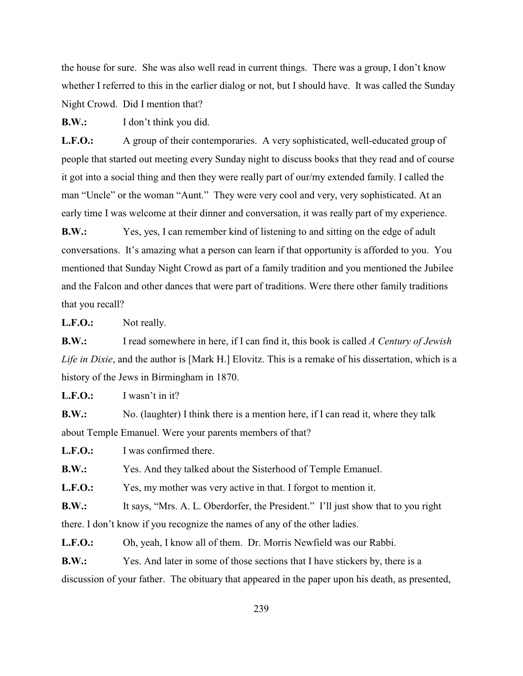the house for sure. She was also well read in current things. There was a group, I don't know whether I referred to this in the earlier dialog or not, but I should have. It was called the Sunday Night Crowd. Did I mention that?

**B.W.:** I don't think you did.

**L.F.O.:** A group of their contemporaries. A very sophisticated, well-educated group of people that started out meeting every Sunday night to discuss books that they read and of course it got into a social thing and then they were really part of our/my extended family. I called the man "Uncle" or the woman "Aunt." They were very cool and very, very sophisticated. At an early time I was welcome at their dinner and conversation, it was really part of my experience.

**B.W.:** Yes, yes, I can remember kind of listening to and sitting on the edge of adult conversations. It's amazing what a person can learn if that opportunity is afforded to you. You mentioned that Sunday Night Crowd as part of a family tradition and you mentioned the Jubilee and the Falcon and other dances that were part of traditions. Were there other family traditions that you recall?

L.F.O.: Not really.

**B.W.:** I read somewhere in here, if I can find it, this book is called *A Century of Jewish Life in Dixie*, and the author is [Mark H.] Elovitz. This is a remake of his dissertation, which is a history of the Jews in Birmingham in 1870.

**L.F.O.:** I wasn't in it?

**B.W.:** No. (laughter) I think there is a mention here, if I can read it, where they talk about Temple Emanuel. Were your parents members of that?

**L.F.O.:** I was confirmed there.

**B.W.:** Yes. And they talked about the Sisterhood of Temple Emanuel.

L.F.O.: Yes, my mother was very active in that. I forgot to mention it.

**B.W.:** It says, "Mrs. A. L. Oberdorfer, the President." I'll just show that to you right there. I don't know if you recognize the names of any of the other ladies.

**L.F.O.:** Oh, yeah, I know all of them. Dr. Morris Newfield was our Rabbi.

**B.W.:** Yes. And later in some of those sections that I have stickers by, there is a discussion of your father. The obituary that appeared in the paper upon his death, as presented,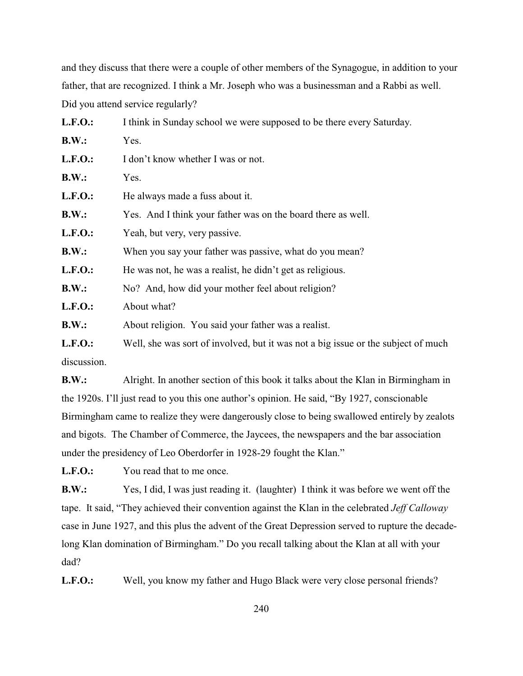and they discuss that there were a couple of other members of the Synagogue, in addition to your father, that are recognized. I think a Mr. Joseph who was a businessman and a Rabbi as well. Did you attend service regularly?

| <b>L.F.O.:</b> | I think in Sunday school we were supposed to be there every Saturday.             |
|----------------|-----------------------------------------------------------------------------------|
| B.W.:          | Yes.                                                                              |
| <b>L.F.O.:</b> | I don't know whether I was or not.                                                |
| B.W.:          | Yes.                                                                              |
| <b>L.F.O.:</b> | He always made a fuss about it.                                                   |
| B.W.:          | Yes. And I think your father was on the board there as well.                      |
| <b>L.F.O.:</b> | Yeah, but very, very passive.                                                     |
| B.W.:          | When you say your father was passive, what do you mean?                           |
| <b>L.F.O.:</b> | He was not, he was a realist, he didn't get as religious.                         |
| B.W.:          | No? And, how did your mother feel about religion?                                 |
| <b>L.F.O.:</b> | About what?                                                                       |
| B.W.:          | About religion. You said your father was a realist.                               |
| <b>L.F.O.:</b> | Well, she was sort of involved, but it was not a big issue or the subject of much |
|                |                                                                                   |

discussion.

**B.W.:** Alright. In another section of this book it talks about the Klan in Birmingham in the 1920s. I'll just read to you this one author's opinion. He said, "By 1927, conscionable Birmingham came to realize they were dangerously close to being swallowed entirely by zealots and bigots. The Chamber of Commerce, the Jaycees, the newspapers and the bar association under the presidency of Leo Oberdorfer in 1928-29 fought the Klan."

**L.F.O.:** You read that to me once.

**B.W.:** Yes, I did, I was just reading it. (laughter) I think it was before we went off the tape. It said, "They achieved their convention against the Klan in the celebrated *Jeff Calloway* case in June 1927, and this plus the advent of the Great Depression served to rupture the decadelong Klan domination of Birmingham." Do you recall talking about the Klan at all with your dad?

L.F.O.: Well, you know my father and Hugo Black were very close personal friends?